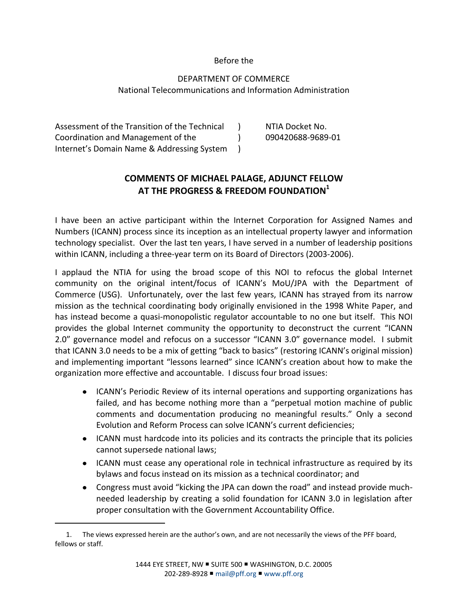#### Before the

#### DEPARTMENT OF COMMERCE National Telecommunications and Information Administration

Assessment of the Transition of the Technical Coordination and Management of the Internet's Domain Name & Addressing System )  $\lambda$ )

 $\overline{a}$ 

NTIA Docket No. 090420688-9689-01

### **COMMENTS OF MICHAEL PALAGE, ADJUNCT FELLOW AT THE PROGRESS & FREEDOM FOUNDATION<sup>1</sup>**

I have been an active participant within the Internet Corporation for Assigned Names and Numbers (ICANN) process since its inception as an intellectual property lawyer and information technology specialist. Over the last ten years, I have served in a number of leadership positions within ICANN, including a three-year term on its Board of Directors (2003-2006).

I applaud the NTIA for using the broad scope of this NOI to refocus the global Internet community on the original intent/focus of ICANN's MoU/JPA with the Department of Commerce (USG). Unfortunately, over the last few years, ICANN has strayed from its narrow mission as the technical coordinating body originally envisioned in the 1998 White Paper, and has instead become a quasi-monopolistic regulator accountable to no one but itself. This NOI provides the global Internet community the opportunity to deconstruct the current "ICANN 2.0" governance model and refocus on a successor "ICANN 3.0" governance model. I submit that ICANN 3.0 needs to be a mix of getting "back to basics" (restoring ICANN's original mission) and implementing important "lessons learned" since ICANN's creation about how to make the organization more effective and accountable. I discuss four broad issues:

- ICANN's Periodic Review of its internal operations and supporting organizations has failed, and has become nothing more than a "perpetual motion machine of public comments and documentation producing no meaningful results." Only a second Evolution and Reform Process can solve ICANN's current deficiencies;
- ICANN must hardcode into its policies and its contracts the principle that its policies cannot supersede national laws;
- ICANN must cease any operational role in technical infrastructure as required by its bylaws and focus instead on its mission as a technical coordinator; and
- Congress must avoid "kicking the JPA can down the road" and instead provide muchneeded leadership by creating a solid foundation for ICANN 3.0 in legislation after proper consultation with the Government Accountability Office.

<sup>1.</sup> The views expressed herein are the author's own, and are not necessarily the views of the PFF board, fellows or staff.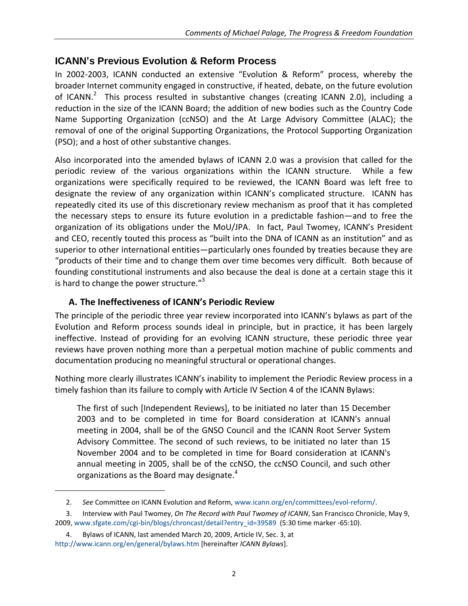## **ICANN's Previous Evolution & Reform Process**

In 2002-2003, ICANN conducted an extensive "Evolution & Reform" process, whereby the broader Internet community engaged in constructive, if heated, debate, on the future evolution of ICANN.<sup>2</sup> This process resulted in substantive changes (creating ICANN 2.0), including a reduction in the size of the ICANN Board; the addition of new bodies such as the Country Code Name Supporting Organization (ccNSO) and the At Large Advisory Committee (ALAC); the removal of one of the original Supporting Organizations, the Protocol Supporting Organization (PSO); and a host of other substantive changes.

Also incorporated into the amended bylaws of ICANN 2.0 was a provision that called for the periodic review of the various organizations within the ICANN structure. While a few organizations were specifically required to be reviewed, the ICANN Board was left free to designate the review of any organization within ICANN's complicated structure. ICANN has repeatedly cited its use of this discretionary review mechanism as proof that it has completed the necessary steps to ensure its future evolution in a predictable fashion—and to free the organization of its obligations under the MoU/JPA. In fact, Paul Twomey, ICANN's President and CEO, recently touted this process as "built into the DNA of ICANN as an institution" and as superior to other international entities—particularly ones founded by treaties because they are "products of their time and to change them over time becomes very difficult. Both because of founding constitutional instruments and also because the deal is done at a certain stage this it is hard to change the power structure."<sup>3</sup>

### **A. The Ineffectiveness of ICANN's Periodic Review**

The principle of the periodic three year review incorporated into ICANN's bylaws as part of the Evolution and Reform process sounds ideal in principle, but in practice, it has been largely ineffective. Instead of providing for an evolving ICANN structure, these periodic three year reviews have proven nothing more than a perpetual motion machine of public comments and documentation producing no meaningful structural or operational changes.

Nothing more clearly illustrates ICANN's inability to implement the Periodic Review process in a timely fashion than its failure to comply with Article IV Section 4 of the ICANN Bylaws:

<span id="page-1-0"></span>The first of such [Independent Reviews], to be initiated no later than 15 December 2003 and to be completed in time for Board consideration at ICANN's annual meeting in 2004, shall be of the GNSO Council and the ICANN Root Server System Advisory Committee. The second of such reviews, to be initiated no later than 15 November 2004 and to be completed in time for Board consideration at ICANN's annual meeting in 2005, shall be of the ccNSO, the ccNSO Council, and such other organizations as the Board may designate.<sup>4</sup>

<sup>2.</sup> *See* Committee on ICANN Evolution and Reform, [www.icann.org/en/committees/evol-reform/.](http://www.icann.org/en/committees/evol-reform/)

<sup>3.</sup> Interview with Paul Twomey, *On The Record with Paul Twomey of ICANN*, San Francisco Chronicle, May 9, 2009, [www.sfgate.com/cgi-bin/blogs/chroncast/detail?entry\\_id=39589](http://www.sfgate.com/cgi-bin/blogs/chroncast/detail?entry_id=39589) (5:30 time marker -65:10).

<sup>4.</sup> Bylaws of ICANN, last amended March 20, 2009, Article IV, Sec. 3, at <http://www.icann.org/en/general/bylaws.htm> [hereinafter *ICANN Bylaws*].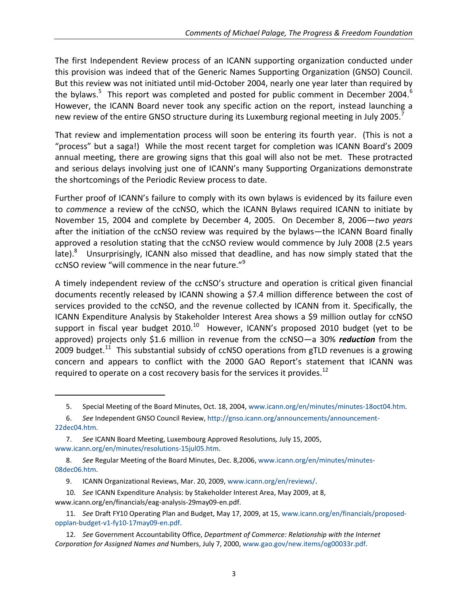The first Independent Review process of an ICANN supporting organization conducted under this provision was indeed that of the Generic Names Supporting Organization (GNSO) Council. But this review was not initiated until mid-October 2004, nearly one year later than required by the bylaws.<sup>5</sup> This report was completed and posted for public comment in December 2004.<sup>6</sup> However, the ICANN Board never took any specific action on the report, instead launching a new review of the entire GNSO structure during its Luxemburg regional meeting in July 2005.

That review and implementation process will soon be entering its fourth year. (This is not a "process" but a saga!) While the most recent target for completion was ICANN Board's 2009 annual meeting, there are growing signs that this goal will also not be met. These protracted and serious delays involving just one of ICANN's many Supporting Organizations demonstrate the shortcomings of the Periodic Review process to date.

Further proof of ICANN's failure to comply with its own bylaws is evidenced by its failure even to *commence* a review of the ccNSO, which the ICANN Bylaws required ICANN to initiate by November 15, 2004 and complete by December 4, 2005. On December 8, 2006—*two years* after the initiation of the ccNSO review was required by the bylaws—the ICANN Board finally approved a resolution stating that the ccNSO review would commence by July 2008 (2.5 years late). $8$  Unsurprisingly, ICANN also missed that deadline, and has now simply stated that the ccNSO review "will commence in the near future." $9$ 

A timely independent review of the ccNSO's structure and operation is critical given financial documents recently released by ICANN showing a \$7.4 million difference between the cost of services provided to the ccNSO, and the revenue collected by ICANN from it. Specifically, the ICANN Expenditure Analysis by Stakeholder Interest Area shows a \$9 million outlay for ccNSO support in fiscal year budget 2010. $^{10}$  However, ICANN's proposed 2010 budget (yet to be approved) projects only \$1.6 million in revenue from the ccNSO—a 30% *reduction* from the 2009 budget.<sup>11</sup> This substantial subsidy of ccNSO operations from gTLD revenues is a growing concern and appears to conflict with the 2000 GAO Report's statement that ICANN was required to operate on a cost recovery basis for the services it provides.<sup>12</sup>

- 10. *See* ICANN Expenditure Analysis: by Stakeholder Interest Area, May 2009, at 8, www.icann.org/en/financials/eag-analysis-29may09-en.pdf.
- 11. *See* Draft FY10 Operating Plan and Budget, May 17, 2009, at 15[, www.icann.org/en/financials/proposed](http://www.icann.org/en/financials/proposed-opplan-budget-v1-fy10-17may09-en.pdf)[opplan-budget-v1-fy10-17may09-en.pdf.](http://www.icann.org/en/financials/proposed-opplan-budget-v1-fy10-17may09-en.pdf)
- 12. *See* Government Accountability Office, *Department of Commerce: Relationship with the Internet Corporation for Assigned Names and* Numbers, July 7, 2000[, www.gao.gov/new.items/og00033r.pdf.](http://www.gao.gov/new.items/og00033r.pdf)

<sup>5.</sup> Special Meeting of the Board Minutes, Oct. 18, 2004, [www.icann.org/en/minutes/minutes-18oct04.htm.](http://www.icann.org/en/minutes/minutes-18oct04.htm)

<sup>6.</sup> *See* Independent GNSO Council Review[, http://gnso.icann.org/announcements/announcement-](http://gnso.icann.org/announcements/announcement-22dec04.htm)[22dec04.htm.](http://gnso.icann.org/announcements/announcement-22dec04.htm)

<sup>7.</sup> *See* ICANN Board Meeting, Luxembourg Approved Resolutions*,* July 15, 2005, [www.icann.org/en/minutes/resolutions-15jul05.htm.](http://www.icann.org/en/minutes/resolutions-15jul05.htm)

<sup>8.</sup> *See* Regular Meeting of the Board Minutes, Dec. 8,2006, [www.icann.org/en/minutes/minutes-](http://www.icann.org/en/minutes/minutes-08dec06.htm)[08dec06.htm.](http://www.icann.org/en/minutes/minutes-08dec06.htm)

<sup>9.</sup> ICANN Organizational Reviews, Mar. 20, 2009, [www.icann.org/en/reviews/.](http://www.icann.org/en/reviews/)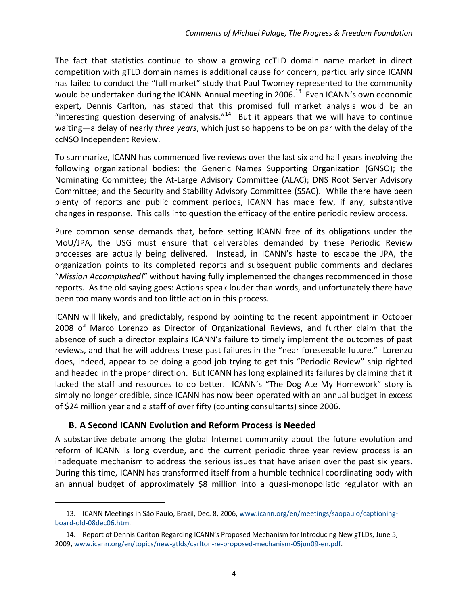The fact that statistics continue to show a growing ccTLD domain name market in direct competition with gTLD domain names is additional cause for concern, particularly since ICANN has failed to conduct the "full market" study that Paul Twomey represented to the community would be undertaken during the ICANN Annual meeting in 2006.<sup>13</sup> Even ICANN's own economic expert, Dennis Carlton, has stated that this promised full market analysis would be an "interesting question deserving of analysis." $14$  But it appears that we will have to continue waiting—a delay of nearly *three years*, which just so happens to be on par with the delay of the ccNSO Independent Review.

To summarize, ICANN has commenced five reviews over the last six and half years involving the following organizational bodies: the Generic Names Supporting Organization (GNSO); the Nominating Committee; the At-Large Advisory Committee (ALAC); DNS Root Server Advisory Committee; and the Security and Stability Advisory Committee (SSAC). While there have been plenty of reports and public comment periods, ICANN has made few, if any, substantive changes in response. This calls into question the efficacy of the entire periodic review process.

Pure common sense demands that, before setting ICANN free of its obligations under the MoU/JPA, the USG must ensure that deliverables demanded by these Periodic Review processes are actually being delivered. Instead, in ICANN's haste to escape the JPA, the organization points to its completed reports and subsequent public comments and declares "*Mission Accomplished!*" without having fully implemented the changes recommended in those reports. As the old saying goes: Actions speak louder than words, and unfortunately there have been too many words and too little action in this process.

ICANN will likely, and predictably, respond by pointing to the recent appointment in October 2008 of Marco Lorenzo as Director of Organizational Reviews, and further claim that the absence of such a director explains ICANN's failure to timely implement the outcomes of past reviews, and that he will address these past failures in the "near foreseeable future." Lorenzo does, indeed, appear to be doing a good job trying to get this "Periodic Review" ship righted and headed in the proper direction. But ICANN has long explained its failures by claiming that it lacked the staff and resources to do better. ICANN's "The Dog Ate My Homework" story is simply no longer credible, since ICANN has now been operated with an annual budget in excess of \$24 million year and a staff of over fifty (counting consultants) since 2006.

### **B. A Second ICANN Evolution and Reform Process is Needed**

 $\overline{a}$ 

A substantive debate among the global Internet community about the future evolution and reform of ICANN is long overdue, and the current periodic three year review process is an inadequate mechanism to address the serious issues that have arisen over the past six years. During this time, ICANN has transformed itself from a humble technical coordinating body with an annual budget of approximately \$8 million into a quasi-monopolistic regulator with an

<sup>13.</sup> ICANN Meetings in São Paulo, Brazil, Dec. 8, 2006[, www.icann.org/en/meetings/saopaulo/captioning](http://www.icann.org/en/meetings/saopaulo/captioning-board-old-08dec06.htm)[board-old-08dec06.htm.](http://www.icann.org/en/meetings/saopaulo/captioning-board-old-08dec06.htm)

<sup>14.</sup> Report of Dennis Carlton Regarding ICANN's Proposed Mechanism for Introducing New gTLDs, June 5, 2009, [www.icann.org/en/topics/new-gtlds/carlton-re-proposed-mechanism-05jun09-en.pdf.](http://www.icann.org/en/topics/new-gtlds/carlton-re-proposed-mechanism-05jun09-en.pdf)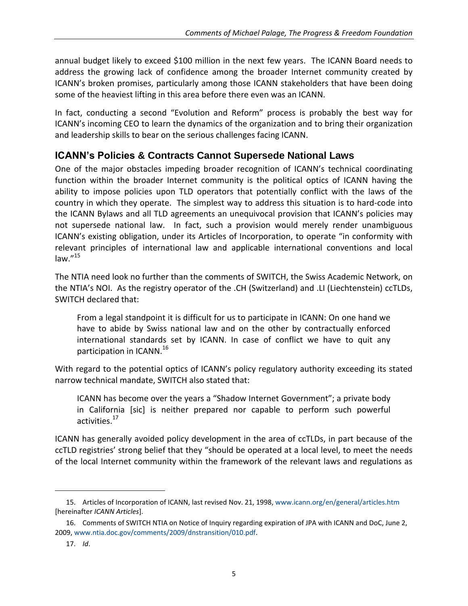annual budget likely to exceed \$100 million in the next few years. The ICANN Board needs to address the growing lack of confidence among the broader Internet community created by ICANN's broken promises, particularly among those ICANN stakeholders that have been doing some of the heaviest lifting in this area before there even was an ICANN.

In fact, conducting a second "Evolution and Reform" process is probably the best way for ICANN's incoming CEO to learn the dynamics of the organization and to bring their organization and leadership skills to bear on the serious challenges facing ICANN.

# **ICANN's Policies & Contracts Cannot Supersede National Laws**

One of the major obstacles impeding broader recognition of ICANN's technical coordinating function within the broader Internet community is the political optics of ICANN having the ability to impose policies upon TLD operators that potentially conflict with the laws of the country in which they operate. The simplest way to address this situation is to hard-code into the ICANN Bylaws and all TLD agreements an unequivocal provision that ICANN's policies may not supersede national law. In fact, such a provision would merely render unambiguous ICANN's existing obligation, under its Articles of Incorporation, to operate "in conformity with relevant principles of international law and applicable international conventions and local  $law."$ <sup>15</sup>

<span id="page-4-0"></span>The NTIA need look no further than the comments of SWITCH, the Swiss Academic Network, on the NTIA's NOI. As the registry operator of the .CH (Switzerland) and .LI (Liechtenstein) ccTLDs, SWITCH declared that:

From a legal standpoint it is difficult for us to participate in ICANN: On one hand we have to abide by Swiss national law and on the other by contractually enforced international standards set by ICANN. In case of conflict we have to quit any participation in ICANN.<sup>16</sup>

With regard to the potential optics of ICANN's policy regulatory authority exceeding its stated narrow technical mandate, SWITCH also stated that:

ICANN has become over the years a "Shadow Internet Government"; a private body in California [sic] is neither prepared nor capable to perform such powerful activities. 17

ICANN has generally avoided policy development in the area of ccTLDs, in part because of the ccTLD registries' strong belief that they "should be operated at a local level, to meet the needs of the local Internet community within the framework of the relevant laws and regulations as

<sup>15.</sup> Articles of Incorporation of ICANN, last revised Nov. 21, 1998[, www.icann.org/en/general/articles.htm](http://www.icann.org/en/general/articles.htm) [hereinafter *ICANN Articles*].

<sup>16.</sup> Comments of SWITCH NTIA on Notice of Inquiry regarding expiration of JPA with ICANN and DoC, June 2, 2009, [www.ntia.doc.gov/comments/2009/dnstransition/010.pdf.](http://www.ntia.doc.gov/comments/2009/dnstransition/010.pdf)

<sup>17.</sup> *Id*.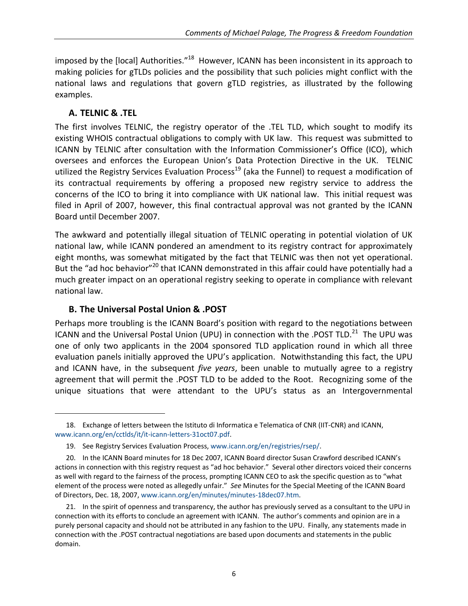imposed by the [local] Authorities."<sup>18</sup> However, ICANN has been inconsistent in its approach to making policies for gTLDs policies and the possibility that such policies might conflict with the national laws and regulations that govern gTLD registries, as illustrated by the following examples.

### **A. TELNIC & .TEL**

 $\overline{a}$ 

The first involves TELNIC, the registry operator of the .TEL TLD, which sought to modify its existing WHOIS contractual obligations to comply with UK law. This request was submitted to ICANN by TELNIC after consultation with the Information Commissioner's Office (ICO), which oversees and enforces the European Union's Data Protection Directive in the UK. TELNIC utilized the Registry Services Evaluation Process<sup>19</sup> (aka the Funnel) to request a modification of its contractual requirements by offering a proposed new registry service to address the concerns of the ICO to bring it into compliance with UK national law. This initial request was filed in April of 2007, however, this final contractual approval was not granted by the ICANN Board until December 2007.

The awkward and potentially illegal situation of TELNIC operating in potential violation of UK national law, while ICANN pondered an amendment to its registry contract for approximately eight months, was somewhat mitigated by the fact that TELNIC was then not yet operational. But the "ad hoc behavior"<sup>20</sup> that ICANN demonstrated in this affair could have potentially had a much greater impact on an operational registry seeking to operate in compliance with relevant national law.

## **B. The Universal Postal Union & .POST**

Perhaps more troubling is the ICANN Board's position with regard to the negotiations between ICANN and the Universal Postal Union (UPU) in connection with the .POST TLD.<sup>21</sup> The UPU was one of only two applicants in the 2004 sponsored TLD application round in which all three evaluation panels initially approved the UPU's application. Notwithstanding this fact, the UPU and ICANN have, in the subsequent *five years*, been unable to mutually agree to a registry agreement that will permit the .POST TLD to be added to the Root. Recognizing some of the unique situations that were attendant to the UPU's status as an Intergovernmental

<sup>18.</sup> Exchange of letters between the Istituto di Informatica e Telematica of CNR (IIT-CNR) and ICANN, [www.icann.org/en/cctlds/it/it-icann-letters-31oct07.pdf.](http://www.icann.org/en/cctlds/it/it-icann-letters-31oct07.pdf)

<sup>19.</sup> See Registry Services Evaluation Process[, www.icann.org/en/registries/rsep/.](http://www.icann.org/en/registries/rsep/)

<sup>20.</sup> In the ICANN Board minutes for 18 Dec 2007, ICANN Board director Susan Crawford described ICANN's actions in connection with this registry request as "ad hoc behavior." Several other directors voiced their concerns as well with regard to the fairness of the process, prompting ICANN CEO to ask the specific question as to "what element of the process were noted as allegedly unfair." *See* Minutes for the Special Meeting of the ICANN Board of Directors, Dec. 18, 2007[, www.icann.org/en/minutes/minutes-18dec07.htm.](http://www.icann.org/en/minutes/minutes-18dec07.htm)

<sup>21.</sup> In the spirit of openness and transparency, the author has previously served as a consultant to the UPU in connection with its efforts to conclude an agreement with ICANN. The author's comments and opinion are in a purely personal capacity and should not be attributed in any fashion to the UPU. Finally, any statements made in connection with the .POST contractual negotiations are based upon documents and statements in the public domain.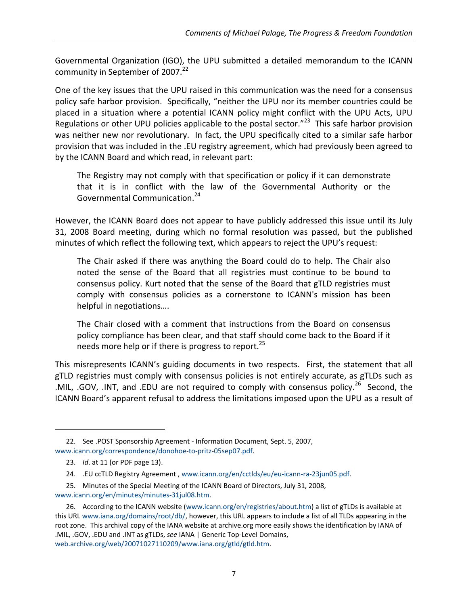Governmental Organization (IGO), the UPU submitted a detailed memorandum to the ICANN community in September of 2007.<sup>22</sup>

One of the key issues that the UPU raised in this communication was the need for a consensus policy safe harbor provision. Specifically, "neither the UPU nor its member countries could be placed in a situation where a potential ICANN policy might conflict with the UPU Acts, UPU Regulations or other UPU policies applicable to the postal sector."<sup>23</sup> This safe harbor provision was neither new nor revolutionary. In fact, the UPU specifically cited to a similar safe harbor provision that was included in the .EU registry agreement, which had previously been agreed to by the ICANN Board and which read, in relevant part:

The Registry may not comply with that specification or policy if it can demonstrate that it is in conflict with the law of the Governmental Authority or the Governmental Communication.<sup>24</sup>

However, the ICANN Board does not appear to have publicly addressed this issue until its July 31, 2008 Board meeting, during which no formal resolution was passed, but the published minutes of which reflect the following text, which appears to reject the UPU's request:

The Chair asked if there was anything the Board could do to help. The Chair also noted the sense of the Board that all registries must continue to be bound to consensus policy. Kurt noted that the sense of the Board that gTLD registries must comply with consensus policies as a cornerstone to ICANN's mission has been helpful in negotiations….

The Chair closed with a comment that instructions from the Board on consensus policy compliance has been clear, and that staff should come back to the Board if it needs more help or if there is progress to report.<sup>25</sup>

This misrepresents ICANN's guiding documents in two respects. First, the statement that all gTLD registries must comply with consensus policies is not entirely accurate, as gTLDs such as .MIL, .GOV, .INT, and .EDU are not required to comply with consensus policy.<sup>26</sup> Second, the ICANN Board's apparent refusal to address the limitations imposed upon the UPU as a result of

 $\overline{a}$ 

25. Minutes of the Special Meeting of the ICANN Board of Directors, July 31, 2008, [www.icann.org/en/minutes/minutes-31jul08.htm.](http://www.icann.org/en/minutes/minutes-31jul08.htm)

<sup>22.</sup> See .POST Sponsorship Agreement - Information Document, Sept. 5, 2007, [www.icann.org/correspondence/donohoe-to-pritz-05sep07.pdf.](http://www.icann.org/correspondence/donohoe-to-pritz-05sep07.pdf)

<sup>23.</sup> *Id*. at 11 (or PDF page 13).

<sup>24.</sup> .EU ccTLD Registry Agreement [, www.icann.org/en/cctlds/eu/eu-icann-ra-23jun05.pdf.](http://www.icann.org/en/cctlds/eu/eu-icann-ra-23jun05.pdf)

<sup>26.</sup> According to the ICANN website [\(www.icann.org/en/registries/about.htm\)](http://www.icann.org/en/registries/about.htm) a list of gTLDs is available at this UR[L www.iana.org/domains/root/db/,](http://www.iana.org/domains/root/db/) however, this URL appears to include a list of all TLDs appearing in the root zone. This archival copy of the IANA website at archive.org more easily shows the identification by IANA of .MIL, .GOV, .EDU and .INT as gTLDs, *see* IANA | Generic Top-Level Domains, [web.archive.org/web/20071027110209/www.iana.org/gtld/gtld.htm.](http://web.archive.org/web/20071027110209/www.iana.org/gtld/gtld.htm)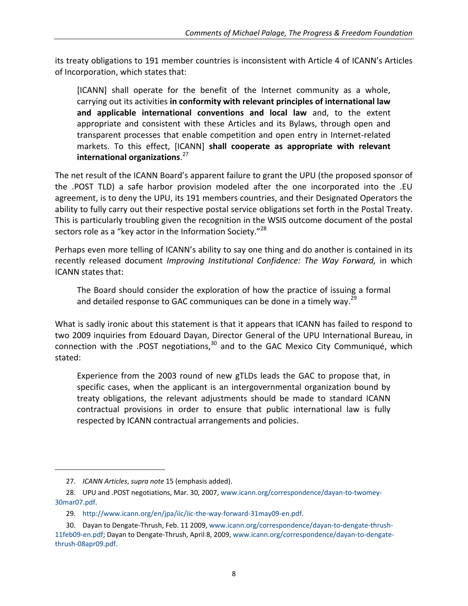its treaty obligations to 191 member countries is inconsistent with Article 4 of ICANN's Articles of Incorporation, which states that:

[ICANN] shall operate for the benefit of the Internet community as a whole, carrying out its activities **in conformity with relevant principles of international law and applicable international conventions and local law** and, to the extent appropriate and consistent with these Articles and its Bylaws, through open and transparent processes that enable competition and open entry in Internet-related markets. To this effect, [ICANN] **shall cooperate as appropriate with relevant international organizations**. 27

The net result of the ICANN Board's apparent failure to grant the UPU (the proposed sponsor of the .POST TLD) a safe harbor provision modeled after the one incorporated into the .EU agreement, is to deny the UPU, its 191 members countries, and their Designated Operators the ability to fully carry out their respective postal service obligations set forth in the Postal Treaty. This is particularly troubling given the recognition in the WSIS outcome document of the postal sectors role as a "key actor in the Information Society."<sup>28</sup>

Perhaps even more telling of ICANN's ability to say one thing and do another is contained in its recently released document *Improving Institutional Confidence: The Way Forward,* in which ICANN states that:

The Board should consider the exploration of how the practice of issuing a formal and detailed response to GAC communiques can be done in a timely way.<sup>29</sup>

What is sadly ironic about this statement is that it appears that ICANN has failed to respond to two 2009 inquiries from Edouard Dayan, Director General of the UPU International Bureau, in connection with the .POST negotiations,<sup>30</sup> and to the GAC Mexico City Communiqué, which stated:

Experience from the 2003 round of new gTLDs leads the GAC to propose that, in specific cases, when the applicant is an intergovernmental organization bound by treaty obligations, the relevant adjustments should be made to standard ICANN contractual provisions in order to ensure that public international law is fully respected by ICANN contractual arrangements and policies.

<sup>27.</sup> *ICANN Articles*, *supra note* [15](#page-4-0) (emphasis added).

<sup>28.</sup> UPU and .POST negotiations, Mar. 30, 2007, [www.icann.org/correspondence/dayan-to-twomey-](http://www.icann.org/correspondence/dayan-to-twomey-30mar07.pdf)[30mar07.pdf.](http://www.icann.org/correspondence/dayan-to-twomey-30mar07.pdf)

<sup>29.</sup> [http://www.icann.org/en/jpa/iic/iic-the-way-forward-31may09-en.pdf.](http://www.icann.org/en/jpa/iic/iic-the-way-forward-31may09-en.pdf)

<sup>30.</sup> Dayan to Dengate-Thrush, Feb. 11 2009, [www.icann.org/correspondence/dayan-to-dengate-thrush-](http://www.icann.org/correspondence/dayan-to-dengate-thrush-11feb09-en.pdf)[11feb09-en.pdf;](http://www.icann.org/correspondence/dayan-to-dengate-thrush-11feb09-en.pdf) Dayan to Dengate-Thrush, April 8, 2009, [www.icann.org/correspondence/dayan-to-dengate](http://www.icann.org/correspondence/dayan-to-dengate-thrush-08apr09.pdf)[thrush-08apr09.pdf.](http://www.icann.org/correspondence/dayan-to-dengate-thrush-08apr09.pdf)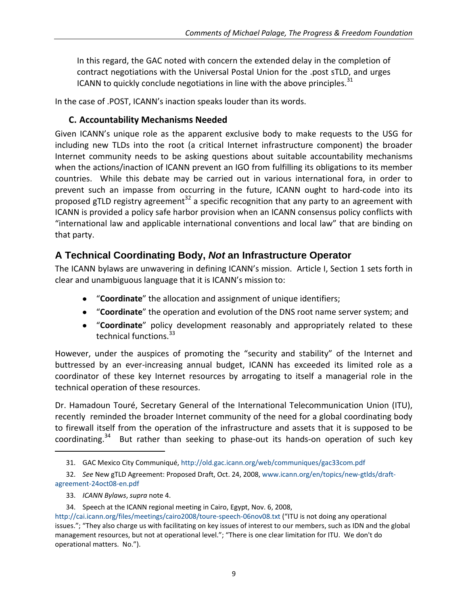In this regard, the GAC noted with concern the extended delay in the completion of contract negotiations with the Universal Postal Union for the .post sTLD, and urges ICANN to quickly conclude negotiations in line with the above principles. $31$ 

In the case of .POST, ICANN's inaction speaks louder than its words.

### **C. Accountability Mechanisms Needed**

Given ICANN's unique role as the apparent exclusive body to make requests to the USG for including new TLDs into the root (a critical Internet infrastructure component) the broader Internet community needs to be asking questions about suitable accountability mechanisms when the actions/inaction of ICANN prevent an IGO from fulfilling its obligations to its member countries. While this debate may be carried out in various international fora, in order to prevent such an impasse from occurring in the future, ICANN ought to hard-code into its proposed gTLD registry agreement<sup>32</sup> a specific recognition that any party to an agreement with ICANN is provided a policy safe harbor provision when an ICANN consensus policy conflicts with "international law and applicable international conventions and local law" that are binding on that party.

# **A Technical Coordinating Body,** *Not* **an Infrastructure Operator**

The ICANN bylaws are unwavering in defining ICANN's mission. Article I, Section 1 sets forth in clear and unambiguous language that it is ICANN's mission to:

- "**Coordinate**" the allocation and assignment of unique identifiers;
- "**Coordinate**" the operation and evolution of the DNS root name server system; and
- "**Coordinate**" policy development reasonably and appropriately related to these technical functions.<sup>33</sup>

However, under the auspices of promoting the "security and stability" of the Internet and buttressed by an ever-increasing annual budget, ICANN has exceeded its limited role as a coordinator of these key Internet resources by arrogating to itself a managerial role in the technical operation of these resources.

Dr. Hamadoun Touré, Secretary General of the International Telecommunication Union (ITU), recently reminded the broader Internet community of the need for a global coordinating body to firewall itself from the operation of the infrastructure and assets that it is supposed to be coordinating.<sup>34</sup> But rather than seeking to phase-out its hands-on operation of such key

<sup>31.</sup> GAC Mexico City Communiqué,<http://old.gac.icann.org/web/communiques/gac33com.pdf>

<sup>32.</sup> *See* New gTLD Agreement: Proposed Draft, Oct. 24, 2008, [www.icann.org/en/topics/new-gtlds/draft](http://www.icann.org/en/topics/new-gtlds/draft-agreement-24oct08-en.pdf)[agreement-24oct08-en.pdf](http://www.icann.org/en/topics/new-gtlds/draft-agreement-24oct08-en.pdf)

<sup>33.</sup> *ICANN Bylaws*, *supra* note [4.](#page-1-0)

<sup>34.</sup> Speech at the ICANN regional meeting in Cairo, Egypt, Nov. 6, 2008,

<http://cai.icann.org/files/meetings/cairo2008/toure-speech-06nov08.txt> ("ITU is not doing any operational issues."; "They also charge us with facilitating on key issues of interest to our members, such as IDN and the global management resources, but not at operational level."; "There is one clear limitation for ITU. We don't do operational matters. No.").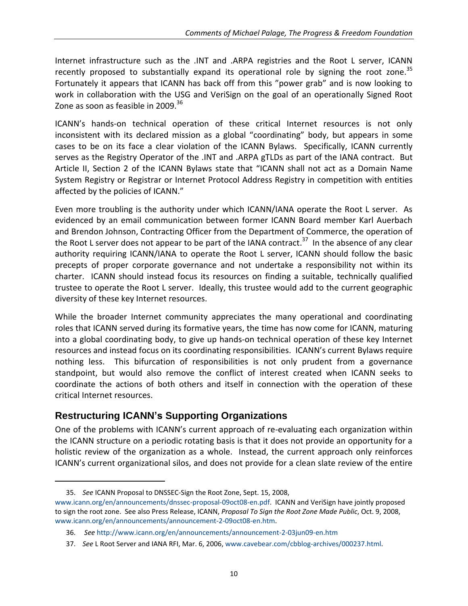Internet infrastructure such as the .INT and .ARPA registries and the Root L server, ICANN recently proposed to substantially expand its operational role by signing the root zone.<sup>35</sup> Fortunately it appears that ICANN has back off from this "power grab" and is now looking to work in collaboration with the USG and VeriSign on the goal of an operationally Signed Root Zone as soon as feasible in 2009.<sup>36</sup>

ICANN's hands-on technical operation of these critical Internet resources is not only inconsistent with its declared mission as a global "coordinating" body, but appears in some cases to be on its face a clear violation of the ICANN Bylaws. Specifically, ICANN currently serves as the Registry Operator of the .INT and .ARPA gTLDs as part of the IANA contract. But Article II, Section 2 of the ICANN Bylaws state that "ICANN shall not act as a Domain Name System Registry or Registrar or Internet Protocol Address Registry in competition with entities affected by the policies of ICANN."

Even more troubling is the authority under which ICANN/IANA operate the Root L server. As evidenced by an email communication between former ICANN Board member Karl Auerbach and Brendon Johnson, Contracting Officer from the Department of Commerce, the operation of the Root L server does not appear to be part of the IANA contract.<sup>37</sup> In the absence of any clear authority requiring ICANN/IANA to operate the Root L server, ICANN should follow the basic precepts of proper corporate governance and not undertake a responsibility not within its charter. ICANN should instead focus its resources on finding a suitable, technically qualified trustee to operate the Root L server. Ideally, this trustee would add to the current geographic diversity of these key Internet resources.

While the broader Internet community appreciates the many operational and coordinating roles that ICANN served during its formative years, the time has now come for ICANN, maturing into a global coordinating body, to give up hands-on technical operation of these key Internet resources and instead focus on its coordinating responsibilities. ICANN's current Bylaws require nothing less. This bifurcation of responsibilities is not only prudent from a governance standpoint, but would also remove the conflict of interest created when ICANN seeks to coordinate the actions of both others and itself in connection with the operation of these critical Internet resources.

# **Restructuring ICANN's Supporting Organizations**

One of the problems with ICANN's current approach of re-evaluating each organization within the ICANN structure on a periodic rotating basis is that it does not provide an opportunity for a holistic review of the organization as a whole. Instead, the current approach only reinforces ICANN's current organizational silos, and does not provide for a clean slate review of the entire

<sup>35.</sup> *See* ICANN Proposal to DNSSEC-Sign the Root Zone, Sept. 15, 2008,

[www.icann.org/en/announcements/dnssec-proposal-09oct08-en.pdf.](http://www.icann.org/en/announcements/dnssec-proposal-09oct08-en.pdf) ICANN and VeriSign have jointly proposed to sign the root zone. See also Press Release, ICANN, *Proposal To Sign the Root Zone Made Public*, Oct. 9, 2008, [www.icann.org/en/announcements/announcement-2-09oct08-en.htm.](http://www.icann.org/en/announcements/announcement-2-09oct08-en.htm)

<sup>36.</sup> *See* <http://www.icann.org/en/announcements/announcement-2-03jun09-en.htm>

<sup>37.</sup> *See* L Root Server and IANA RFI, Mar. 6, 2006, [www.cavebear.com/cbblog-archives/000237.html.](http://www.cavebear.com/cbblog-archives/000237.html)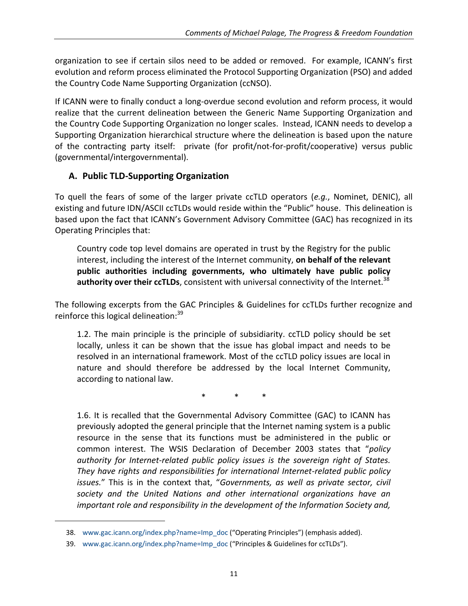organization to see if certain silos need to be added or removed. For example, ICANN's first evolution and reform process eliminated the Protocol Supporting Organization (PSO) and added the Country Code Name Supporting Organization (ccNSO).

If ICANN were to finally conduct a long-overdue second evolution and reform process, it would realize that the current delineation between the Generic Name Supporting Organization and the Country Code Supporting Organization no longer scales. Instead, ICANN needs to develop a Supporting Organization hierarchical structure where the delineation is based upon the nature of the contracting party itself: private (for profit/not-for-profit/cooperative) versus public (governmental/intergovernmental).

## **A. Public TLD-Supporting Organization**

To quell the fears of some of the larger private ccTLD operators (*e.g.*, Nominet, DENIC), all existing and future IDN/ASCII ccTLDs would reside within the "Public" house. This delineation is based upon the fact that ICANN's Government Advisory Committee (GAC) has recognized in its Operating Principles that:

Country code top level domains are operated in trust by the Registry for the public interest, including the interest of the Internet community, **on behalf of the relevant public authorities including governments, who ultimately have public policy**  authority over their ccTLDs, consistent with universal connectivity of the Internet.<sup>38</sup>

The following excerpts from the GAC Principles & Guidelines for ccTLDs further recognize and reinforce this logical delineation:<sup>39</sup>

1.2. The main principle is the principle of subsidiarity. ccTLD policy should be set locally, unless it can be shown that the issue has global impact and needs to be resolved in an international framework. Most of the ccTLD policy issues are local in nature and should therefore be addressed by the local Internet Community, according to national law.

\* \* \*

1.6. It is recalled that the Governmental Advisory Committee (GAC) to ICANN has previously adopted the general principle that the Internet naming system is a public resource in the sense that its functions must be administered in the public or common interest. The WSIS Declaration of December 2003 states that "*policy authority for Internet-related public policy issues is the sovereign right of States. They have rights and responsibilities for international Internet-related public policy issues.*" This is in the context that, "*Governments, as well as private sector, civil society and the United Nations and other international organizations have an important role and responsibility in the development of the Information Society and,* 

<sup>38.</sup> [www.gac.icann.org/index.php?name=Imp\\_doc](http://www.gac.icann.org/index.php?name=Imp_doc) ("Operating Principles") (emphasis added).

<sup>39.</sup> [www.gac.icann.org/index.php?name=Imp\\_doc](http://www.gac.icann.org/index.php?name=Imp_doc) ("Principles & Guidelines for ccTLDs").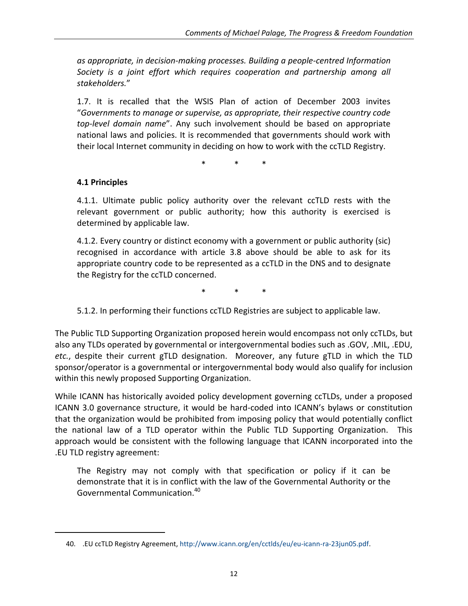*as appropriate, in decision-making processes. Building a people-centred Information Society is a joint effort which requires cooperation and partnership among all stakeholders.*"

1.7. It is recalled that the WSIS Plan of action of December 2003 invites "*Governments to manage or supervise, as appropriate, their respective country code top-level domain name*". Any such involvement should be based on appropriate national laws and policies. It is recommended that governments should work with their local Internet community in deciding on how to work with the ccTLD Registry.

\* \* \*

#### **4.1 Principles**

 $\overline{a}$ 

4.1.1. Ultimate public policy authority over the relevant ccTLD rests with the relevant government or public authority; how this authority is exercised is determined by applicable law.

4.1.2. Every country or distinct economy with a government or public authority (sic) recognised in accordance with article 3.8 above should be able to ask for its appropriate country code to be represented as a ccTLD in the DNS and to designate the Registry for the ccTLD concerned.

\* \* \*

5.1.2. In performing their functions ccTLD Registries are subject to applicable law.

The Public TLD Supporting Organization proposed herein would encompass not only ccTLDs, but also any TLDs operated by governmental or intergovernmental bodies such as .GOV, .MIL, .EDU, *etc.*, despite their current gTLD designation. Moreover, any future gTLD in which the TLD sponsor/operator is a governmental or intergovernmental body would also qualify for inclusion within this newly proposed Supporting Organization.

While ICANN has historically avoided policy development governing ccTLDs, under a proposed ICANN 3.0 governance structure, it would be hard-coded into ICANN's bylaws or constitution that the organization would be prohibited from imposing policy that would potentially conflict the national law of a TLD operator within the Public TLD Supporting Organization. This approach would be consistent with the following language that ICANN incorporated into the .EU TLD registry agreement:

The Registry may not comply with that specification or policy if it can be demonstrate that it is in conflict with the law of the Governmental Authority or the Governmental Communication.<sup>40</sup>

<sup>40. .</sup>EU ccTLD Registry Agreement, [http://www.icann.org/en/cctlds/eu/eu-icann-ra-23jun05.pdf.](http://www.icann.org/en/cctlds/eu/eu-icann-ra-23jun05.pdf)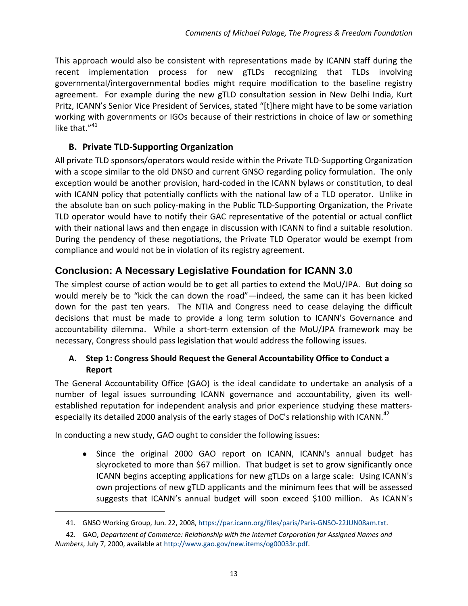This approach would also be consistent with representations made by ICANN staff during the recent implementation process for new gTLDs recognizing that TLDs involving governmental/intergovernmental bodies might require modification to the baseline registry agreement. For example during the new gTLD consultation session in New Delhi India, Kurt Pritz, ICANN's Senior Vice President of Services, stated "[t]here might have to be some variation working with governments or IGOs because of their restrictions in choice of law or something like that."<sup>41</sup>

### **B. Private TLD-Supporting Organization**

All private TLD sponsors/operators would reside within the Private TLD-Supporting Organization with a scope similar to the old DNSO and current GNSO regarding policy formulation. The only exception would be another provision, hard-coded in the ICANN bylaws or constitution, to deal with ICANN policy that potentially conflicts with the national law of a TLD operator. Unlike in the absolute ban on such policy-making in the Public TLD-Supporting Organization, the Private TLD operator would have to notify their GAC representative of the potential or actual conflict with their national laws and then engage in discussion with ICANN to find a suitable resolution. During the pendency of these negotiations, the Private TLD Operator would be exempt from compliance and would not be in violation of its registry agreement.

# **Conclusion: A Necessary Legislative Foundation for ICANN 3.0**

The simplest course of action would be to get all parties to extend the MoU/JPA. But doing so would merely be to "kick the can down the road"—indeed, the same can it has been kicked down for the past ten years. The NTIA and Congress need to cease delaying the difficult decisions that must be made to provide a long term solution to ICANN's Governance and accountability dilemma. While a short-term extension of the MoU/JPA framework may be necessary, Congress should pass legislation that would address the following issues.

### **A. Step 1: Congress Should Request the General Accountability Office to Conduct a Report**

The General Accountability Office (GAO) is the ideal candidate to undertake an analysis of a number of legal issues surrounding ICANN governance and accountability, given its wellestablished reputation for independent analysis and prior experience studying these mattersespecially its detailed 2000 analysis of the early stages of DoC's relationship with ICANN.<sup>42</sup>

In conducting a new study, GAO ought to consider the following issues:

 $\overline{a}$ 

• Since the original 2000 GAO report on ICANN, ICANN's annual budget has skyrocketed to more than \$67 million. That budget is set to grow significantly once ICANN begins accepting applications for new gTLDs on a large scale: Using ICANN's own projections of new gTLD applicants and the minimum fees that will be assessed suggests that ICANN's annual budget will soon exceed \$100 million. As ICANN's

<sup>41.</sup> GNSO Working Group, Jun. 22, 2008, [https://par.icann.org/files/paris/Paris-GNSO-22JUN08am.txt.](https://par.icann.org/files/paris/Paris-GNSO-22JUN08am.txt)

<sup>42.</sup> GAO, *Department of Commerce: Relationship with the Internet Corporation for Assigned Names and Numbers*, July 7, 2000, available a[t http://www.gao.gov/new.items/og00033r.pdf.](http://www.gao.gov/new.items/og00033r.pdf)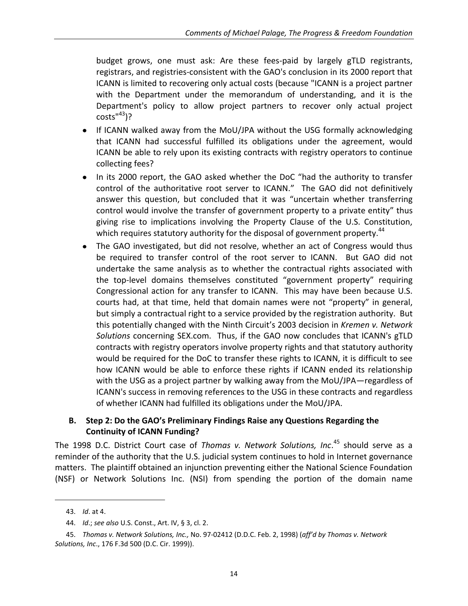budget grows, one must ask: Are these fees-paid by largely gTLD registrants, registrars, and registries-consistent with the GAO's conclusion in its 2000 report that ICANN is limited to recovering only actual costs (because "ICANN is a project partner with the Department under the memorandum of understanding, and it is the Department's policy to allow project partners to recover only actual project  $costs''^{43}$ ?

- If ICANN walked away from the MoU/JPA without the USG formally acknowledging that ICANN had successful fulfilled its obligations under the agreement, would ICANN be able to rely upon its existing contracts with registry operators to continue collecting fees?
- In its 2000 report, the GAO asked whether the DoC "had the authority to transfer control of the authoritative root server to ICANN." The GAO did not definitively answer this question, but concluded that it was "uncertain whether transferring control would involve the transfer of government property to a private entity" thus giving rise to implications involving the Property Clause of the U.S. Constitution, which requires statutory authority for the disposal of government property.<sup>44</sup>
- The GAO investigated, but did not resolve, whether an act of Congress would thus be required to transfer control of the root server to ICANN. But GAO did not undertake the same analysis as to whether the contractual rights associated with the top-level domains themselves constituted "government property" requiring Congressional action for any transfer to ICANN. This may have been because U.S. courts had, at that time, held that domain names were not "property" in general, but simply a contractual right to a service provided by the registration authority. But this potentially changed with the Ninth Circuit's 2003 decision in *Kremen v. Network Solutions* concerning SEX.com. Thus, if the GAO now concludes that ICANN's gTLD contracts with registry operators involve property rights and that statutory authority would be required for the DoC to transfer these rights to ICANN, it is difficult to see how ICANN would be able to enforce these rights if ICANN ended its relationship with the USG as a project partner by walking away from the MoU/JPA—regardless of ICANN's success in removing references to the USG in these contracts and regardless of whether ICANN had fulfilled its obligations under the MoU/JPA.

#### **B. Step 2: Do the GAO's Preliminary Findings Raise any Questions Regarding the Continuity of ICANN Funding?**

The 1998 D.C. District Court case of *Thomas v. Network Solutions, Inc*. <sup>45</sup> should serve as a reminder of the authority that the U.S. judicial system continues to hold in Internet governance matters. The plaintiff obtained an injunction preventing either the National Science Foundation (NSF) or Network Solutions Inc. (NSI) from spending the portion of the domain name

<sup>43.</sup> *Id*. at 4.

<sup>44.</sup> *Id*.; *see also* U.S. Const., Art. IV, § 3, cl. 2.

<sup>45.</sup> *Thomas v. Network Solutions, Inc.,* No. 97-02412 (D.D.C. Feb. 2, 1998) (*aff'd by Thomas v. Network Solutions, Inc*., 176 F.3d 500 (D.C. Cir. 1999)).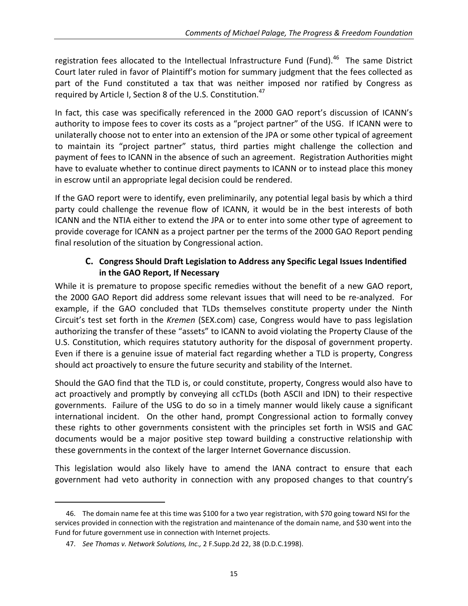registration fees allocated to the Intellectual Infrastructure Fund (Fund).<sup>46</sup> The same District Court later ruled in favor of Plaintiff's motion for summary judgment that the fees collected as part of the Fund constituted a tax that was neither imposed nor ratified by Congress as required by Article I, Section 8 of the U.S. Constitution.<sup>47</sup>

In fact, this case was specifically referenced in the 2000 GAO report's discussion of ICANN's authority to impose fees to cover its costs as a "project partner" of the USG. If ICANN were to unilaterally choose not to enter into an extension of the JPA or some other typical of agreement to maintain its "project partner" status, third parties might challenge the collection and payment of fees to ICANN in the absence of such an agreement. Registration Authorities might have to evaluate whether to continue direct payments to ICANN or to instead place this money in escrow until an appropriate legal decision could be rendered.

If the GAO report were to identify, even preliminarily, any potential legal basis by which a third party could challenge the revenue flow of ICANN, it would be in the best interests of both ICANN and the NTIA either to extend the JPA or to enter into some other type of agreement to provide coverage for ICANN as a project partner per the terms of the 2000 GAO Report pending final resolution of the situation by Congressional action.

### **C. Congress Should Draft Legislation to Address any Specific Legal Issues Indentified in the GAO Report, If Necessary**

While it is premature to propose specific remedies without the benefit of a new GAO report, the 2000 GAO Report did address some relevant issues that will need to be re-analyzed. For example, if the GAO concluded that TLDs themselves constitute property under the Ninth Circuit's test set forth in the *Kremen* (SEX.com) case, Congress would have to pass legislation authorizing the transfer of these "assets" to ICANN to avoid violating the Property Clause of the U.S. Constitution, which requires statutory authority for the disposal of government property. Even if there is a genuine issue of material fact regarding whether a TLD is property, Congress should act proactively to ensure the future security and stability of the Internet.

Should the GAO find that the TLD is, or could constitute, property, Congress would also have to act proactively and promptly by conveying all ccTLDs (both ASCII and IDN) to their respective governments. Failure of the USG to do so in a timely manner would likely cause a significant international incident. On the other hand, prompt Congressional action to formally convey these rights to other governments consistent with the principles set forth in WSIS and GAC documents would be a major positive step toward building a constructive relationship with these governments in the context of the larger Internet Governance discussion.

This legislation would also likely have to amend the IANA contract to ensure that each government had veto authority in connection with any proposed changes to that country's

<sup>46.</sup> The domain name fee at this time was \$100 for a two year registration, with \$70 going toward NSI for the services provided in connection with the registration and maintenance of the domain name, and \$30 went into the Fund for future government use in connection with Internet projects.

<sup>47.</sup> *See Thomas v. Network Solutions, Inc.,* 2 F.Supp.2d 22, 38 (D.D.C.1998).